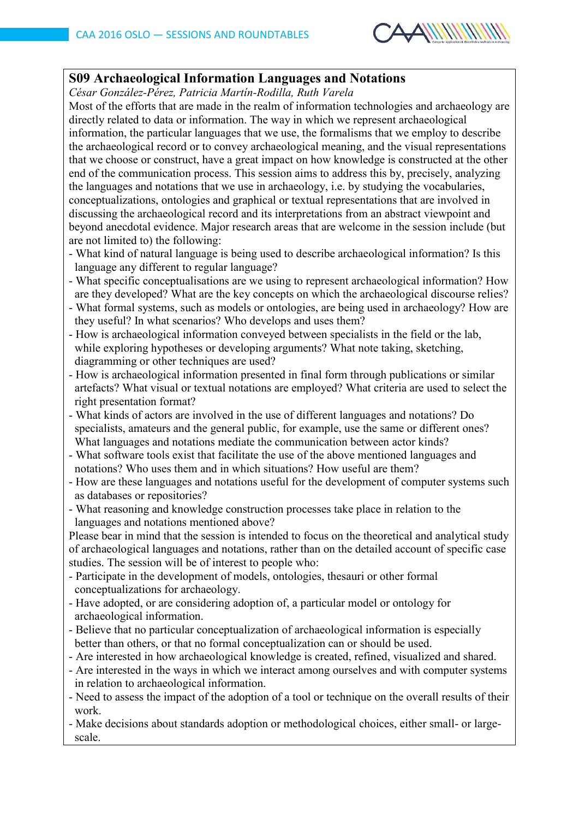

## **S09 Archaeological Information Languages and Notations**

*César González-Pérez, Patricia Martín-Rodilla, Ruth Varela*

Most of the efforts that are made in the realm of information technologies and archaeology are directly related to data or information. The way in which we represent archaeological information, the particular languages that we use, the formalisms that we employ to describe the archaeological record or to convey archaeological meaning, and the visual representations that we choose or construct, have a great impact on how knowledge is constructed at the other end of the communication process. This session aims to address this by, precisely, analyzing the languages and notations that we use in archaeology, i.e. by studying the vocabularies, conceptualizations, ontologies and graphical or textual representations that are involved in discussing the archaeological record and its interpretations from an abstract viewpoint and beyond anecdotal evidence. Major research areas that are welcome in the session include (but are not limited to) the following:

- What kind of natural language is being used to describe archaeological information? Is this language any different to regular language?
- What specific conceptualisations are we using to represent archaeological information? How are they developed? What are the key concepts on which the archaeological discourse relies?
- What formal systems, such as models or ontologies, are being used in archaeology? How are they useful? In what scenarios? Who develops and uses them?
- How is archaeological information conveyed between specialists in the field or the lab, while exploring hypotheses or developing arguments? What note taking, sketching, diagramming or other techniques are used?
- How is archaeological information presented in final form through publications or similar artefacts? What visual or textual notations are employed? What criteria are used to select the right presentation format?
- What kinds of actors are involved in the use of different languages and notations? Do specialists, amateurs and the general public, for example, use the same or different ones? What languages and notations mediate the communication between actor kinds?
- What software tools exist that facilitate the use of the above mentioned languages and notations? Who uses them and in which situations? How useful are them?
- How are these languages and notations useful for the development of computer systems such as databases or repositories?
- What reasoning and knowledge construction processes take place in relation to the languages and notations mentioned above?

Please bear in mind that the session is intended to focus on the theoretical and analytical study of archaeological languages and notations, rather than on the detailed account of specific case studies. The session will be of interest to people who:

- Participate in the development of models, ontologies, thesauri or other formal conceptualizations for archaeology.
- Have adopted, or are considering adoption of, a particular model or ontology for archaeological information.
- Believe that no particular conceptualization of archaeological information is especially better than others, or that no formal conceptualization can or should be used.
- Are interested in how archaeological knowledge is created, refined, visualized and shared.
- Are interested in the ways in which we interact among ourselves and with computer systems in relation to archaeological information.
- Need to assess the impact of the adoption of a tool or technique on the overall results of their work.
- Make decisions about standards adoption or methodological choices, either small- or large scale.